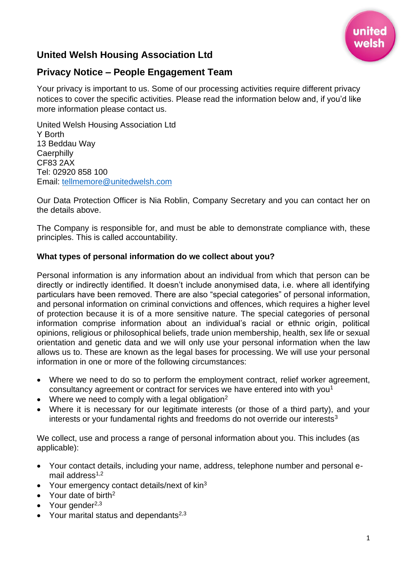

# **United Welsh Housing Association Ltd**

## **Privacy Notice – People Engagement Team**

Your privacy is important to us. Some of our processing activities require different privacy notices to cover the specific activities. Please read the information below and, if you'd like more information please contact us.

United Welsh Housing Association Ltd Y Borth 13 Beddau Way **Caerphilly** CF83 2AX Tel: 02920 858 100 Email: [tellmemore@unitedwelsh.com](mailto:tellmemore@unitedwelsh.com)

Our Data Protection Officer is Nia Roblin, Company Secretary and you can contact her on the details above.

The Company is responsible for, and must be able to demonstrate compliance with, these principles. This is called accountability.

#### **What types of personal information do we collect about you?**

Personal information is any information about an individual from which that person can be directly or indirectly identified. It doesn't include anonymised data, i.e. where all identifying particulars have been removed. There are also "special categories" of personal information, and personal information on criminal convictions and offences, which requires a higher level of protection because it is of a more sensitive nature. The special categories of personal information comprise information about an individual's racial or ethnic origin, political opinions, religious or philosophical beliefs, trade union membership, health, sex life or sexual orientation and genetic data and we will only use your personal information when the law allows us to. These are known as the legal bases for processing. We will use your personal information in one or more of the following circumstances:

- Where we need to do so to perform the employment contract, relief worker agreement, consultancy agreement or contract for services we have entered into with you<sup>1</sup>
- Where we need to comply with a legal obligation<sup>2</sup>
- Where it is necessary for our legitimate interests (or those of a third party), and your interests or your fundamental rights and freedoms do not override our interests<sup>3</sup>

We collect, use and process a range of personal information about you. This includes (as applicable):

- Your contact details, including your name, address, telephone number and personal email address $1,2$
- Your emergency contact details/next of kin<sup>3</sup>
- Your date of birth<sup>2</sup>
- Your gender $^{2,3}$
- Your marital status and dependants $2,3$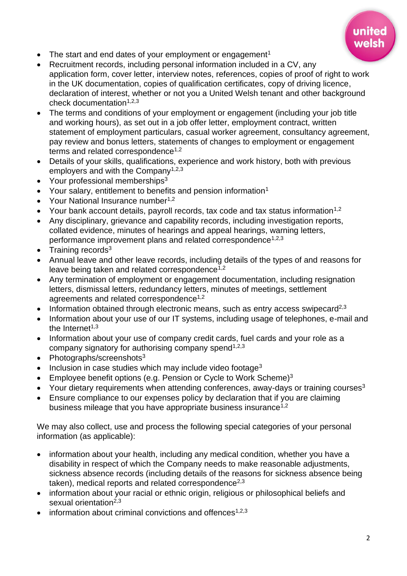

- The start and end dates of your employment or engagement<sup>1</sup>
- Recruitment records, including personal information included in a CV, any application form, cover letter, interview notes, references, copies of proof of right to work in the UK documentation, copies of qualification certificates, copy of driving licence, declaration of interest, whether or not you a United Welsh tenant and other background check documentation $1,2,3$
- The terms and conditions of your employment or engagement (including your job title and working hours), as set out in a job offer letter, employment contract, written statement of employment particulars, casual worker agreement, consultancy agreement, pay review and bonus letters, statements of changes to employment or engagement terms and related correspondence<sup>1,2</sup>
- Details of your skills, qualifications, experience and work history, both with previous employers and with the Company<sup>1,2,3</sup>
- Your professional memberships $3$
- Your salary, entitlement to benefits and pension information<sup>1</sup>
- Your National Insurance number<sup>1,2</sup>
- Your bank account details, payroll records, tax code and tax status information<sup>1,2</sup>
- Any disciplinary, grievance and capability records, including investigation reports, collated evidence, minutes of hearings and appeal hearings, warning letters, performance improvement plans and related correspondence<sup>1,2,3</sup>
- Training records $3$
- Annual leave and other leave records, including details of the types of and reasons for leave being taken and related correspondence<sup>1,2</sup>
- Any termination of employment or engagement documentation, including resignation letters, dismissal letters, redundancy letters, minutes of meetings, settlement agreements and related correspondence<sup>1,2</sup>
- Information obtained through electronic means, such as entry access swipecard<sup>2,3</sup>
- Information about your use of our IT systems, including usage of telephones, e-mail and the Internet $1,3$
- Information about your use of company credit cards, fuel cards and your role as a company signatory for authorising company spend<sup> $1,2,3$ </sup>
- Photographs/screenshots $3$
- Inclusion in case studies which may include video footage<sup>3</sup>
- Employee benefit options (e.g. Pension or Cycle to Work Scheme)<sup>3</sup>
- Your dietary requirements when attending conferences, away-days or training courses<sup>3</sup>
- Ensure compliance to our expenses policy by declaration that if you are claiming business mileage that you have appropriate business insurance<sup>1,2</sup>

We may also collect, use and process the following special categories of your personal information (as applicable):

- information about your health, including any medical condition, whether you have a disability in respect of which the Company needs to make reasonable adjustments, sickness absence records (including details of the reasons for sickness absence being taken), medical reports and related correspondence<sup>2,3</sup>
- information about your racial or ethnic origin, religious or philosophical beliefs and sexual orientation<sup>2,3</sup>
- information about criminal convictions and offences<sup> $1,2,3$ </sup>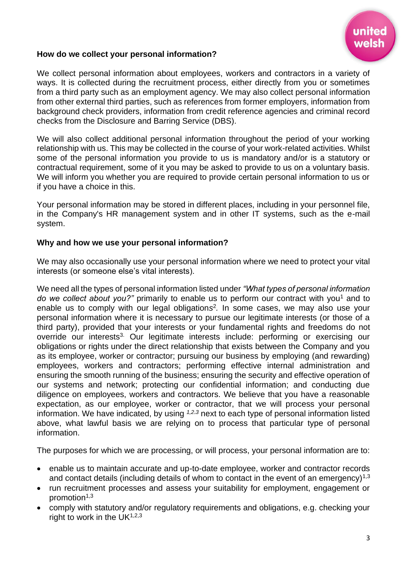

#### **How do we collect your personal information?**

We collect personal information about employees, workers and contractors in a variety of ways. It is collected during the recruitment process, either directly from you or sometimes from a third party such as an employment agency. We may also collect personal information from other external third parties, such as references from former employers, information from background check providers, information from credit reference agencies and criminal record checks from the Disclosure and Barring Service (DBS).

We will also collect additional personal information throughout the period of your working relationship with us. This may be collected in the course of your work-related activities. Whilst some of the personal information you provide to us is mandatory and/or is a statutory or contractual requirement, some of it you may be asked to provide to us on a voluntary basis. We will inform you whether you are required to provide certain personal information to us or if you have a choice in this.

Your personal information may be stored in different places, including in your personnel file, in the Company's HR management system and in other IT systems, such as the e-mail system.

#### **Why and how we use your personal information?**

We may also occasionally use your personal information where we need to protect your vital interests (or someone else's vital interests).

We need all the types of personal information listed under *"What types of personal information do we collect about you?"* primarily to enable us to perform our contract with you<sup>1</sup> and to enable us to comply with our legal obligation*s* 2 *.* In some cases, we may also use your personal information where it is necessary to pursue our legitimate interests (or those of a third party), provided that your interests or your fundamental rights and freedoms do not override our interests<sup>3.</sup> Our legitimate interests include: performing or exercising our obligations or rights under the direct relationship that exists between the Company and you as its employee, worker or contractor; pursuing our business by employing (and rewarding) employees, workers and contractors; performing effective internal administration and ensuring the smooth running of the business; ensuring the security and effective operation of our systems and network; protecting our confidential information; and conducting due diligence on employees, workers and contractors. We believe that you have a reasonable expectation, as our employee, worker or contractor, that we will process your personal information. We have indicated, by using *1,2*,*<sup>3</sup>* next to each type of personal information listed above, what lawful basis we are relying on to process that particular type of personal information.

The purposes for which we are processing, or will process, your personal information are to:

- enable us to maintain accurate and up-to-date employee, worker and contractor records and contact details (including details of whom to contact in the event of an emergency)<sup>1,3</sup>
- run recruitment processes and assess your suitability for employment, engagement or promotion<sup>1,3</sup>
- comply with statutory and/or regulatory requirements and obligations, e.g. checking your right to work in the  $UK<sup>1,2,3</sup>$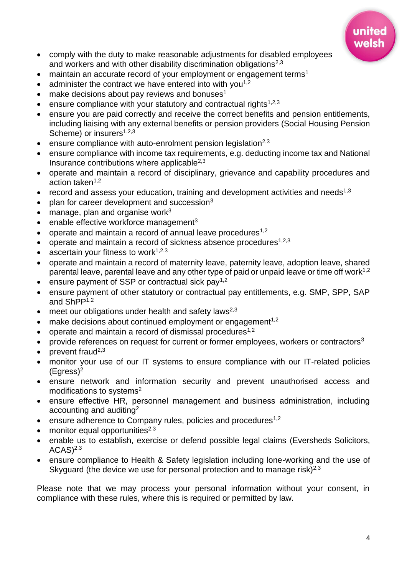

- comply with the duty to make reasonable adjustments for disabled employees and workers and with other disability discrimination obligations<sup>2,3</sup>
- maintain an accurate record of your employment or engagement terms<sup>1</sup>
- administer the contract we have entered into with you<sup>1,2</sup>
- $\bullet$  make decisions about pay reviews and bonuses<sup>1</sup>
- ensure compliance with your statutory and contractual rights<sup>1,2,3</sup>
- ensure you are paid correctly and receive the correct benefits and pension entitlements, including liaising with any external benefits or pension providers (Social Housing Pension Scheme) or insurers<sup>1.2,3</sup>
- ensure compliance with auto-enrolment pension legislation<sup>2,3</sup>
- ensure compliance with income tax requirements, e.g. deducting income tax and National Insurance contributions where applicable $2,3$
- operate and maintain a record of disciplinary, grievance and capability procedures and action taken $1,2$
- record and assess your education, training and development activities and needs<sup>1,3</sup>
- $\bullet$  plan for career development and succession<sup>3</sup>
- manage, plan and organise work $3$
- $\bullet$  enable effective workforce management<sup>3</sup>
- operate and maintain a record of annual leave procedures<sup>1,2</sup>
- operate and maintain a record of sickness absence procedures<sup>1,2,3</sup>
- ascertain your fitness to work $1,2,3$
- operate and maintain a record of maternity leave, paternity leave, adoption leave, shared parental leave, parental leave and any other type of paid or unpaid leave or time off work<sup>1,2</sup>
- ensure payment of SSP or contractual sick pay<sup>1,2</sup>
- ensure payment of other statutory or contractual pay entitlements, e.g. SMP, SPP, SAP and ShPP1,2
- meet our obligations under health and safety laws<sup>2,3</sup>
- make decisions about continued employment or engagement<sup>1,2</sup>
- operate and maintain a record of dismissal procedures<sup>1,2</sup>
- provide references on request for current or former employees, workers or contractors<sup>3</sup>
- prevent fraud<sup>2,3</sup>
- monitor your use of our IT systems to ensure compliance with our IT-related policies  $(Eqress)<sup>2</sup>$
- ensure network and information security and prevent unauthorised access and modifications to systems<sup>2</sup>
- ensure effective HR, personnel management and business administration, including accounting and auditing<sup>2</sup>
- ensure adherence to Company rules, policies and procedures<sup>1,2</sup>
- monitor equal opportunities $2,3$
- enable us to establish, exercise or defend possible legal claims (Eversheds Solicitors,  $ACAS$ <sup>2,3</sup>
- ensure compliance to Health & Safety legislation including lone-working and the use of Skyguard (the device we use for personal protection and to manage risk)<sup>2,3</sup>

Please note that we may process your personal information without your consent, in compliance with these rules, where this is required or permitted by law.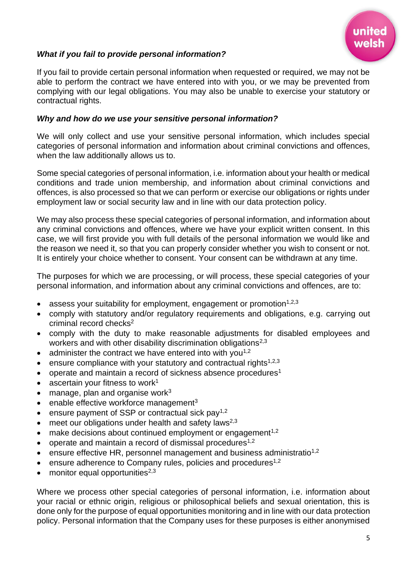

## *What if you fail to provide personal information?*

If you fail to provide certain personal information when requested or required, we may not be able to perform the contract we have entered into with you, or we may be prevented from complying with our legal obligations. You may also be unable to exercise your statutory or contractual rights.

#### *Why and how do we use your sensitive personal information?*

We will only collect and use your sensitive personal information, which includes special categories of personal information and information about criminal convictions and offences, when the law additionally allows us to.

Some special categories of personal information, i.e. information about your health or medical conditions and trade union membership, and information about criminal convictions and offences, is also processed so that we can perform or exercise our obligations or rights under employment law or social security law and in line with our data protection policy.

We may also process these special categories of personal information, and information about any criminal convictions and offences, where we have your explicit written consent. In this case, we will first provide you with full details of the personal information we would like and the reason we need it, so that you can properly consider whether you wish to consent or not. It is entirely your choice whether to consent. Your consent can be withdrawn at any time.

The purposes for which we are processing, or will process, these special categories of your personal information, and information about any criminal convictions and offences, are to:

- assess your suitability for employment, engagement or promotion<sup> $1,2,3$ </sup>
- comply with statutory and/or regulatory requirements and obligations, e.g. carrying out criminal record checks<sup>2</sup>
- comply with the duty to make reasonable adjustments for disabled employees and workers and with other disability discrimination obligations<sup>2,3</sup>
- administer the contract we have entered into with you<sup>1,2</sup>
- ensure compliance with your statutory and contractual rights<sup>1,2,3</sup>
- operate and maintain a record of sickness absence procedures<sup>1</sup>
- ascertain your fitness to work<sup>1</sup>
- manage, plan and organise work $3$
- enable effective workforce management<sup>3</sup>
- ensure payment of SSP or contractual sick pay<sup>1,2</sup>
- meet our obligations under health and safety laws<sup>2,3</sup>
- make decisions about continued employment or engagement<sup>1,2</sup>
- operate and maintain a record of dismissal procedures<sup>1,2</sup>
- ensure effective HR, personnel management and business administratio<sup>1,2</sup>
- ensure adherence to Company rules, policies and procedures<sup>1,2</sup>
- monitor equal opportunities $^{2,3}$

Where we process other special categories of personal information, i.e. information about your racial or ethnic origin, religious or philosophical beliefs and sexual orientation, this is done only for the purpose of equal opportunities monitoring and in line with our data protection policy. Personal information that the Company uses for these purposes is either anonymised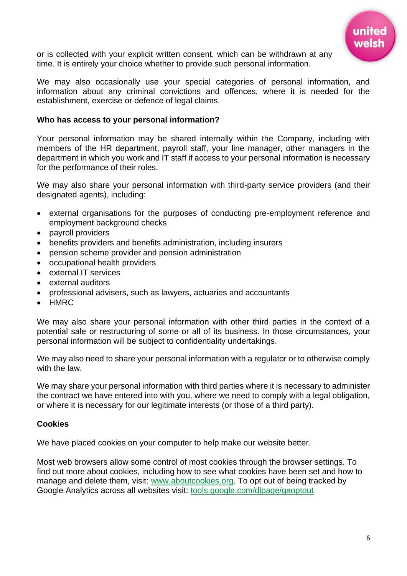

or is collected with your explicit written consent, which can be withdrawn at any time. It is entirely your choice whether to provide such personal information.

We may also occasionally use your special categories of personal information, and information about any criminal convictions and offences, where it is needed for the establishment, exercise or defence of legal claims.

#### **Who has access to your personal information?**

Your personal information may be shared internally within the Company, including with members of the HR department, payroll staff, your line manager, other managers in the department in which you work and IT staff if access to your personal information is necessary for the performance of their roles.

We may also share your personal information with third-party service providers (and their designated agents), including:

- external organisations for the purposes of conducting pre-employment reference and employment background checks
- payroll providers
- benefits providers and benefits administration, including insurers
- pension scheme provider and pension administration
- occupational health providers
- external IT services
- external auditors
- professional advisers, such as lawyers, actuaries and accountants
- HMRC

We may also share your personal information with other third parties in the context of a potential sale or restructuring of some or all of its business. In those circumstances, your personal information will be subject to confidentiality undertakings.

We may also need to share your personal information with a regulator or to otherwise comply with the law.

We may share your personal information with third parties where it is necessary to administer the contract we have entered into with you, where we need to comply with a legal obligation, or where it is necessary for our legitimate interests (or those of a third party).

#### **Cookies**

We have placed cookies on your computer to help make our website better.

Most web browsers allow some control of most cookies through the browser settings. To find out more about cookies, including how to see what cookies have been set and how to manage and delete them, visit: [www.aboutcookies.org.](http://www.aboutcookies.org/) To opt out of being tracked by Google Analytics across all websites visit: [tools.google.com/dlpage/gaoptout](http://tools.google.com/dlpage/gaoptout)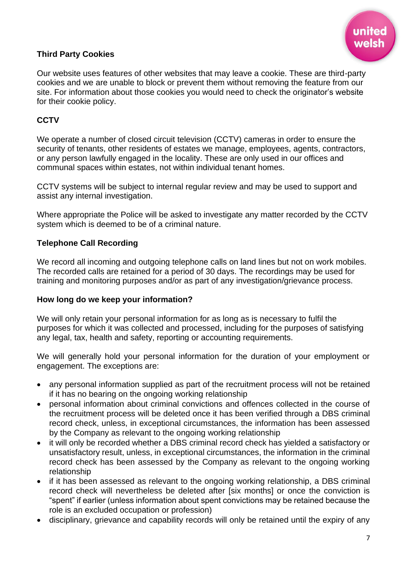

## **Third Party Cookies**

Our website uses features of other websites that may leave a cookie. These are third-party cookies and we are unable to block or prevent them without removing the feature from our site. For information about those cookies you would need to check the originator's website for their cookie policy.

## **CCTV**

We operate a number of closed circuit television (CCTV) cameras in order to ensure the security of tenants, other residents of estates we manage, employees, agents, contractors, or any person lawfully engaged in the locality. These are only used in our offices and communal spaces within estates, not within individual tenant homes.

CCTV systems will be subject to internal regular review and may be used to support and assist any internal investigation.

Where appropriate the Police will be asked to investigate any matter recorded by the CCTV system which is deemed to be of a criminal nature.

## **Telephone Call Recording**

We record all incoming and outgoing telephone calls on land lines but not on work mobiles. The recorded calls are retained for a period of 30 days. The recordings may be used for training and monitoring purposes and/or as part of any investigation/grievance process.

## **How long do we keep your information?**

We will only retain your personal information for as long as is necessary to fulfil the purposes for which it was collected and processed, including for the purposes of satisfying any legal, tax, health and safety, reporting or accounting requirements.

We will generally hold your personal information for the duration of your employment or engagement. The exceptions are:

- any personal information supplied as part of the recruitment process will not be retained if it has no bearing on the ongoing working relationship
- personal information about criminal convictions and offences collected in the course of the recruitment process will be deleted once it has been verified through a DBS criminal record check, unless, in exceptional circumstances, the information has been assessed by the Company as relevant to the ongoing working relationship
- it will only be recorded whether a DBS criminal record check has yielded a satisfactory or unsatisfactory result, unless, in exceptional circumstances, the information in the criminal record check has been assessed by the Company as relevant to the ongoing working relationship
- if it has been assessed as relevant to the ongoing working relationship, a DBS criminal record check will nevertheless be deleted after [six months] or once the conviction is "spent" if earlier (unless information about spent convictions may be retained because the role is an excluded occupation or profession)
- disciplinary, grievance and capability records will only be retained until the expiry of any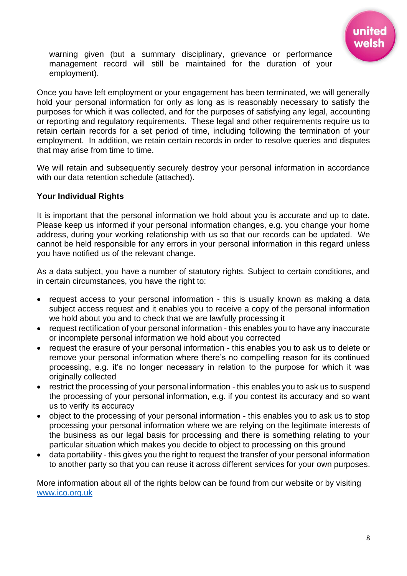

warning given (but a summary disciplinary, grievance or performance management record will still be maintained for the duration of your employment).

Once you have left employment or your engagement has been terminated, we will generally hold your personal information for only as long as is reasonably necessary to satisfy the purposes for which it was collected, and for the purposes of satisfying any legal, accounting or reporting and regulatory requirements. These legal and other requirements require us to retain certain records for a set period of time, including following the termination of your employment. In addition, we retain certain records in order to resolve queries and disputes that may arise from time to time.

We will retain and subsequently securely destroy your personal information in accordance with our data retention schedule (attached).

#### **Your Individual Rights**

It is important that the personal information we hold about you is accurate and up to date. Please keep us informed if your personal information changes, e.g. you change your home address, during your working relationship with us so that our records can be updated. We cannot be held responsible for any errors in your personal information in this regard unless you have notified us of the relevant change.

As a data subject, you have a number of statutory rights. Subject to certain conditions, and in certain circumstances, you have the right to:

- request access to your personal information this is usually known as making a data subject access request and it enables you to receive a copy of the personal information we hold about you and to check that we are lawfully processing it
- request rectification of your personal information this enables you to have any inaccurate or incomplete personal information we hold about you corrected
- request the erasure of your personal information this enables you to ask us to delete or remove your personal information where there's no compelling reason for its continued processing, e.g. it's no longer necessary in relation to the purpose for which it was originally collected
- restrict the processing of your personal information this enables you to ask us to suspend the processing of your personal information, e.g. if you contest its accuracy and so want us to verify its accuracy
- object to the processing of your personal information this enables you to ask us to stop processing your personal information where we are relying on the legitimate interests of the business as our legal basis for processing and there is something relating to your particular situation which makes you decide to object to processing on this ground
- data portability this gives you the right to request the transfer of your personal information to another party so that you can reuse it across different services for your own purposes.

More information about all of the rights below can be found from our website or by visiting [www.ico.org.uk](http://www.ico.org.uk/)